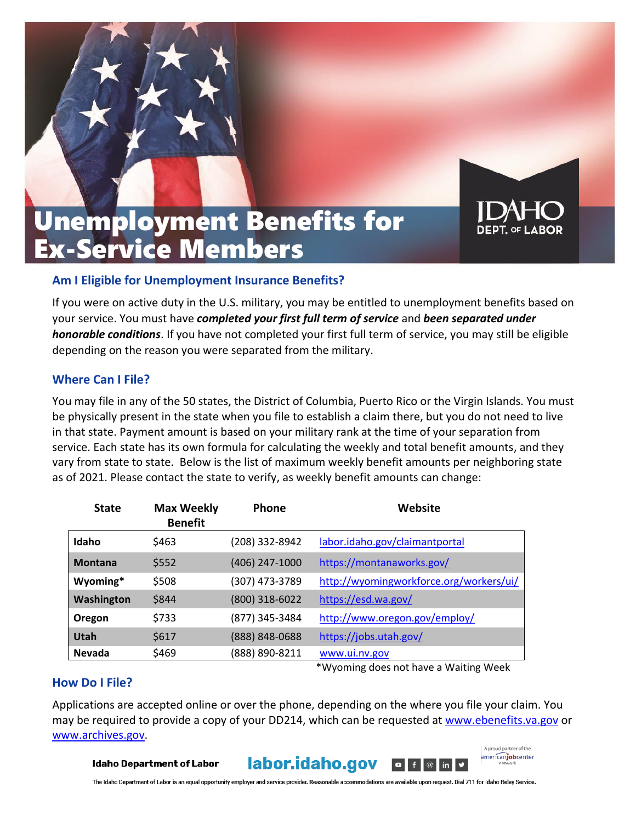



# Unemployment Benefits for Ex-Service Members

### **Am I Eligible for Unemployment Insurance Benefits?**

If you were on active duty in the U.S. military, you may be entitled to unemployment benefits based on your service. You must have *completed your first full term of service* and *been separated under honorable conditions*. If you have not completed your first full term of service, you may still be eligible depending on the reason you were separated from the military.

## **Where Can I File?**

You may file in any of the 50 states, the District of Columbia, Puerto Rico or the Virgin Islands. You must be physically present in the state when you file to establish a claim there, but you do not need to live in that state. Payment amount is based on your military rank at the time of your separation from service. Each state has its own formula for calculating the weekly and total benefit amounts, and they vary from state to state. Below is the list of maximum weekly benefit amounts per neighboring state as of 2021. Please contact the state to verify, as weekly benefit amounts can change:

| <b>State</b>   | <b>Max Weekly</b><br><b>Benefit</b> | <b>Phone</b>   | Website                                 |
|----------------|-------------------------------------|----------------|-----------------------------------------|
| Idaho          | \$463                               | (208) 332-8942 | labor.idaho.gov/claimantportal          |
| <b>Montana</b> | \$552                               | (406) 247-1000 | https://montanaworks.gov/               |
| Wyoming*       | \$508                               | (307) 473-3789 | http://wyomingworkforce.org/workers/ui/ |
| Washington     | \$844                               | (800) 318-6022 | https://esd.wa.gov/                     |
| Oregon         | \$733                               | (877) 345-3484 | http://www.oregon.gov/employ/           |
| Utah           | \$617                               | (888) 848-0688 | https://jobs.utah.gov/                  |
| <b>Nevada</b>  | \$469                               | (888) 890-8211 | www.ui.nv.gov                           |

#### **How Do I File?**

\*Wyoming does not have a Waiting Week

A proud partner of the americanjobcenter

Applications are accepted online or over the phone, depending on the where you file your claim. You may be required to provide a copy of your DD214, which can be requested at [www.ebenefits.va.gov](http://www.ebenefits.va.gov/) or [www.archives.gov.](http://www.archives.gov/)

**Idaho Department of Labor** 

labor.idaho.gov  $\blacksquare$  $\circ$  in  $\vee$ 

The Idaho Department of Labor is an equal opportunity employer and service provider. Reasonable accommodations are available upon request. Dial 711 for Idaho Relay Service.